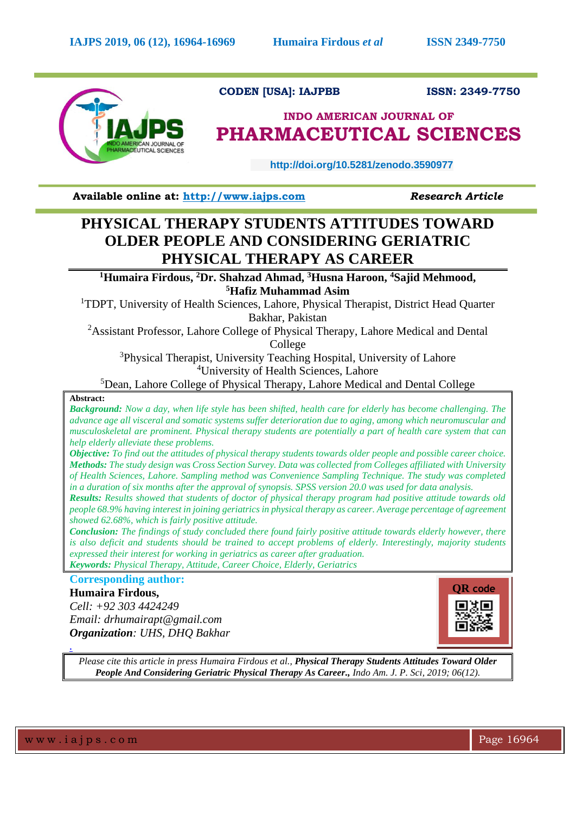

**CODEN [USA]: IAJPBB ISSN: 2349-7750**

# **INDO AMERICAN JOURNAL OF PHARMACEUTICAL SCIENCES**

 **http://doi.org/10.5281/zenodo.3590977** 

**Available online at: [http://www.iajps.com](http://www.iajps.com/)** *Research Article*

# **PHYSICAL THERAPY STUDENTS ATTITUDES TOWARD OLDER PEOPLE AND CONSIDERING GERIATRIC PHYSICAL THERAPY AS CAREER**

**<sup>1</sup>Humaira Firdous, <sup>2</sup>Dr. Shahzad Ahmad, <sup>3</sup>Husna Haroon, <sup>4</sup>Sajid Mehmood, <sup>5</sup>Hafiz Muhammad Asim**

<sup>1</sup>TDPT, University of Health Sciences, Lahore, Physical Therapist, District Head Quarter Bakhar, Pakistan

<sup>2</sup>Assistant Professor, Lahore College of Physical Therapy, Lahore Medical and Dental College

<sup>3</sup>Physical Therapist, University Teaching Hospital, University of Lahore <sup>4</sup>University of Health Sciences, Lahore

<sup>5</sup>Dean, Lahore College of Physical Therapy, Lahore Medical and Dental College

## **Abstract:**

*Background: Now a day, when life style has been shifted, health care for elderly has become challenging. The advance age all visceral and somatic systems suffer deterioration due to aging, among which neuromuscular and musculoskeletal are prominent. Physical therapy students are potentially a part of health care system that can help elderly alleviate these problems.*

*Objective: To find out the attitudes of physical therapy students towards older people and possible career choice. Methods: The study design was Cross Section Survey. Data was collected from Colleges affiliated with University of Health Sciences, Lahore. Sampling method was Convenience Sampling Technique. The study was completed in a duration of six months after the approval of synopsis. SPSS version 20.0 was used for data analysis.*

*Results: Results showed that students of doctor of physical therapy program had positive attitude towards old people 68.9% having interest in joining geriatrics in physical therapy as career. Average percentage of agreement showed 62.68%, which is fairly positive attitude.*

*Conclusion: The findings of study concluded there found fairly positive attitude towards elderly however, there is also deficit and students should be trained to accept problems of elderly. Interestingly, majority students expressed their interest for working in geriatrics as career after graduation.*

*Keywords: Physical Therapy, Attitude, Career Choice, Elderly, Geriatrics* 

**Corresponding author:** 

## **Humaira Firdous,**

*Cell: +92 303 4424249 Email: [drhumairapt@gmail.com](mailto:drhumairapt@gmail.com) Organization: UHS, DHQ Bakhar*



*Please cite this article in press Humaira Firdous et al., Physical Therapy Students Attitudes Toward Older People And Considering Geriatric Physical Therapy As Career., Indo Am. J. P. Sci, 2019; 06(12).*

*.*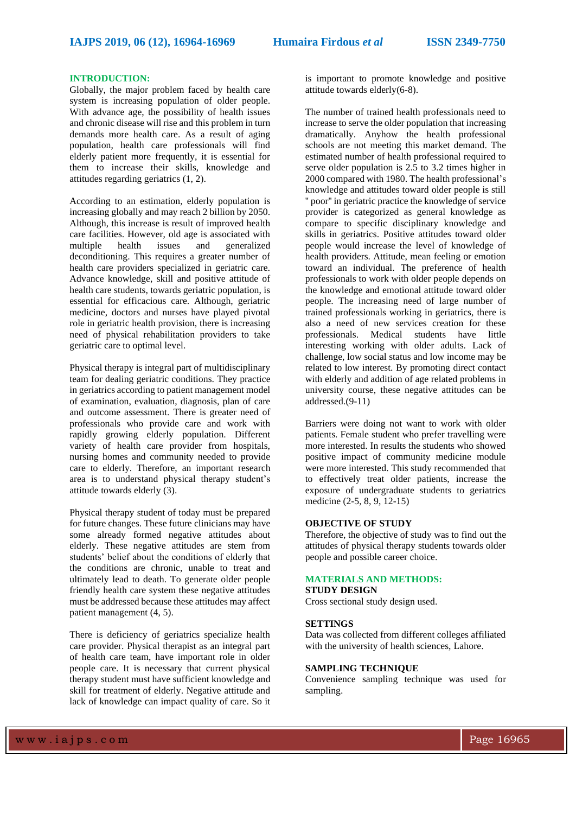## **INTRODUCTION:**

Globally, the major problem faced by health care system is increasing population of older people. With advance age, the possibility of health issues and chronic disease will rise and this problem in turn demands more health care. As a result of aging population, health care professionals will find elderly patient more frequently, it is essential for them to increase their skills, knowledge and attitudes regarding geriatrics [\(1,](#page-4-0) [2\)](#page-4-1).

According to an estimation, elderly population is increasing globally and may reach 2 billion by 2050. Although, this increase is result of improved health care facilities. However, old age is associated with multiple health issues and generalized deconditioning. This requires a greater number of health care providers specialized in geriatric care. Advance knowledge, skill and positive attitude of health care students, towards geriatric population, is essential for efficacious care. Although, geriatric medicine, doctors and nurses have played pivotal role in geriatric health provision, there is increasing need of physical rehabilitation providers to take geriatric care to optimal level.

Physical therapy is integral part of multidisciplinary team for dealing geriatric conditions. They practice in geriatrics according to patient management model of examination, evaluation, diagnosis, plan of care and outcome assessment. There is greater need of professionals who provide care and work with rapidly growing elderly population. Different variety of health care provider from hospitals, nursing homes and community needed to provide care to elderly. Therefore, an important research area is to understand physical therapy student's attitude towards elderly [\(3\)](#page-4-2).

Physical therapy student of today must be prepared for future changes. These future clinicians may have some already formed negative attitudes about elderly. These negative attitudes are stem from students' belief about the conditions of elderly that the conditions are chronic, unable to treat and ultimately lead to death. To generate older people friendly health care system these negative attitudes must be addressed because these attitudes may affect patient management [\(4,](#page-4-3) [5\)](#page-4-4).

There is deficiency of geriatrics specialize health care provider. Physical therapist as an integral part of health care team, have important role in older people care. It is necessary that current physical therapy student must have sufficient knowledge and skill for treatment of elderly. Negative attitude and lack of knowledge can impact quality of care. So it is important to promote knowledge and positive attitude towards elderly[\(6-8\)](#page-4-5).

The number of trained health professionals need to increase to serve the older population that increasing dramatically. Anyhow the health professional schools are not meeting this market demand. The estimated number of health professional required to serve older population is 2.5 to 3.2 times higher in 2000 compared with 1980. The health professional's knowledge and attitudes toward older people is still '' poor'' in geriatric practice the knowledge of service provider is categorized as general knowledge as compare to specific disciplinary knowledge and skills in geriatrics. Positive attitudes toward older people would increase the level of knowledge of health providers. Attitude, mean feeling or emotion toward an individual. The preference of health professionals to work with older people depends on the knowledge and emotional attitude toward older people. The increasing need of large number of trained professionals working in geriatrics, there is also a need of new services creation for these professionals. Medical students have little interesting working with older adults. Lack of challenge, low social status and low income may be related to low interest. By promoting direct contact with elderly and addition of age related problems in university course, these negative attitudes can be addressed.[\(9-11\)](#page-4-6)

Barriers were doing not want to work with older patients. Female student who prefer travelling were more interested. In results the students who showed positive impact of community medicine module were more interested. This study recommended that to effectively treat older patients, increase the exposure of undergraduate students to geriatrics medicine [\(2-5,](#page-4-1) [8,](#page-4-7) [9,](#page-4-6) [12-15\)](#page-4-8)

## **OBJECTIVE OF STUDY**

Therefore, the objective of study was to find out the attitudes of physical therapy students towards older people and possible career choice.

## **MATERIALS AND METHODS:**

## **STUDY DESIGN**

Cross sectional study design used.

#### **SETTINGS**

Data was collected from different colleges affiliated with the university of health sciences, Lahore.

## **SAMPLING TECHNIQUE**

Convenience sampling technique was used for sampling.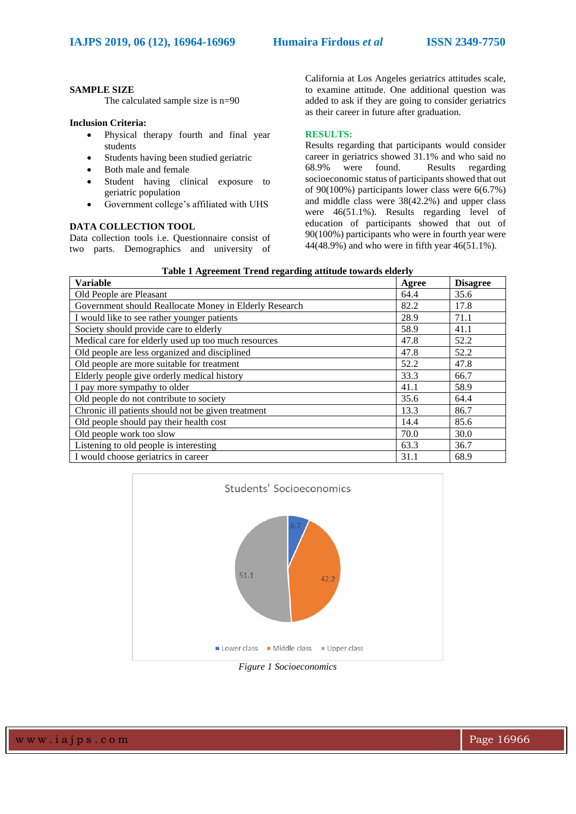## **SAMPLE SIZE**

The calculated sample size is n=90

## **Inclusion Criteria:**

- Physical therapy fourth and final year students
- Students having been studied geriatric
- Both male and female
- Student having clinical exposure to geriatric population
- Government college's affiliated with UHS

## **DATA COLLECTION TOOL**

Data collection tools i.e. Questionnaire consist of two parts. Demographics and university of

California at Los Angeles geriatrics attitudes scale, to examine attitude. One additional question was added to ask if they are going to consider geriatrics as their career in future after graduation.

## **RESULTS:**

Results regarding that participants would consider career in geriatrics showed 31.1% and who said no 68.9% were found. Results regarding socioeconomic status of participants showed that out of 90(100%) participants lower class were 6(6.7%) and middle class were 38(42.2%) and upper class were 46(51.1%). Results regarding level of education of participants showed that out of 90(100%) participants who were in fourth year were 44(48.9%) and who were in fifth year 46(51.1%).

| <b>Variable</b>                                        | Agree | <b>Disagree</b> |
|--------------------------------------------------------|-------|-----------------|
| Old People are Pleasant                                | 64.4  | 35.6            |
| Government should Reallocate Money in Elderly Research | 82.2  | 17.8            |
| I would like to see rather younger patients            | 28.9  | 71.1            |
| Society should provide care to elderly                 | 58.9  | 41.1            |
| Medical care for elderly used up too much resources    | 47.8  | 52.2            |
| Old people are less organized and disciplined          | 47.8  | 52.2            |
| Old people are more suitable for treatment             | 52.2  | 47.8            |
| Elderly people give orderly medical history            | 33.3  | 66.7            |
| I pay more sympathy to older                           | 41.1  | 58.9            |
| Old people do not contribute to society                | 35.6  | 64.4            |
| Chronic ill patients should not be given treatment     | 13.3  | 86.7            |
| Old people should pay their health cost                | 14.4  | 85.6            |
| Old people work too slow                               | 70.0  | 30.0            |
| Listening to old people is interesting                 | 63.3  | 36.7            |
| I would choose geriatrics in career                    | 31.1  | 68.9            |

**Table 1 Agreement Trend regarding attitude towards elderly**



*Figure 1 Socioeconomics*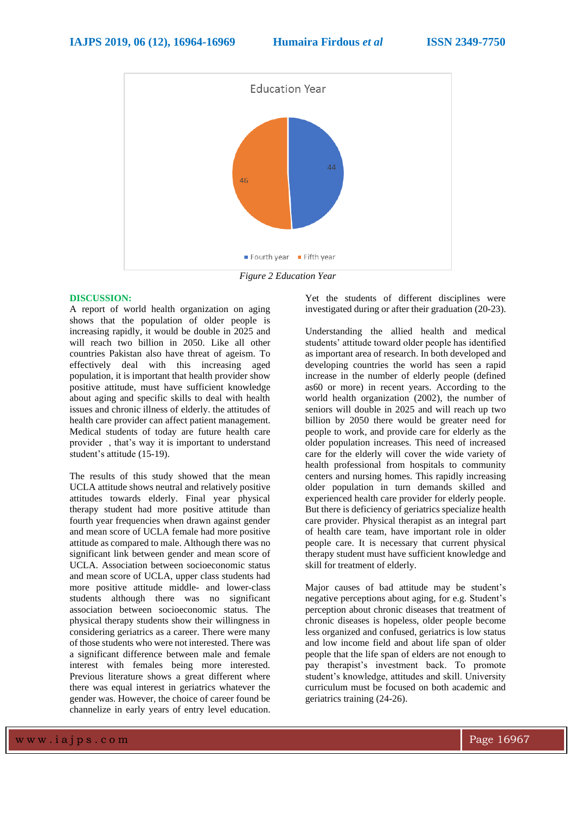

*Figure 2 Education Year*

## **DISCUSSION:**

A report of world health organization on aging shows that the population of older people is increasing rapidly, it would be double in 2025 and will reach two billion in 2050. Like all other countries Pakistan also have threat of ageism. To effectively deal with this increasing aged population, it is important that health provider show positive attitude, must have sufficient knowledge about aging and specific skills to deal with health issues and chronic illness of elderly. the attitudes of health care provider can affect patient management. Medical students of today are future health care provider , that's way it is important to understand student's attitude [\(15-19\)](#page-4-9).

The results of this study showed that the mean UCLA attitude shows neutral and relatively positive attitudes towards elderly. Final year physical therapy student had more positive attitude than fourth year frequencies when drawn against gender and mean score of UCLA female had more positive attitude as compared to male. Although there was no significant link between gender and mean score of UCLA. Association between socioeconomic status and mean score of UCLA, upper class students had more positive attitude middle- and lower-class students although there was no significant association between socioeconomic status. The physical therapy students show their willingness in considering geriatrics as a career. There were many of those students who were not interested. There was a significant difference between male and female interest with females being more interested. Previous literature shows a great different where there was equal interest in geriatrics whatever the gender was. However, the choice of career found be channelize in early years of entry level education.

Yet the students of different disciplines were investigated during or after their graduation [\(20-23\)](#page-4-10).

Understanding the allied health and medical students' attitude toward older people has identified as important area of research. In both developed and developing countries the world has seen a rapid increase in the number of elderly people (defined as60 or more) in recent years. According to the world health organization (2002), the number of seniors will double in 2025 and will reach up two billion by 2050 there would be greater need for people to work, and provide care for elderly as the older population increases. This need of increased care for the elderly will cover the wide variety of health professional from hospitals to community centers and nursing homes. This rapidly increasing older population in turn demands skilled and experienced health care provider for elderly people. But there is deficiency of geriatrics specialize health care provider. Physical therapist as an integral part of health care team, have important role in older people care. It is necessary that current physical therapy student must have sufficient knowledge and skill for treatment of elderly.

Major causes of bad attitude may be student's negative perceptions about aging, for e.g. Student's perception about chronic diseases that treatment of chronic diseases is hopeless, older people become less organized and confused, geriatrics is low status and low income field and about life span of older people that the life span of elders are not enough to pay therapist's investment back. To promote student's knowledge, attitudes and skill. University curriculum must be focused on both academic and geriatrics training [\(24-26\)](#page-5-0).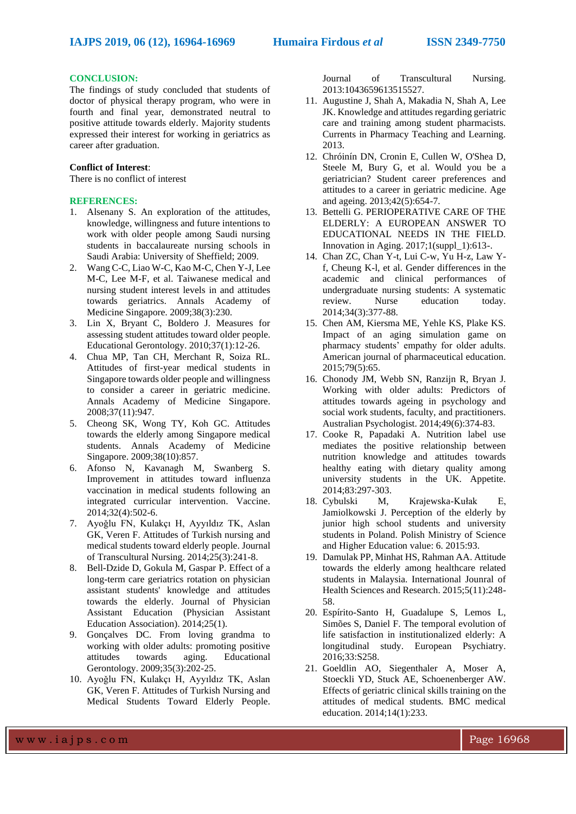## **CONCLUSION:**

The findings of study concluded that students of doctor of physical therapy program, who were in fourth and final year, demonstrated neutral to positive attitude towards elderly. Majority students expressed their interest for working in geriatrics as career after graduation.

#### **Conflict of Interest**:

There is no conflict of interest

## **REFERENCES:**

- <span id="page-4-0"></span>1. Alsenany S. An exploration of the attitudes, knowledge, willingness and future intentions to work with older people among Saudi nursing students in baccalaureate nursing schools in Saudi Arabia: University of Sheffield; 2009.
- <span id="page-4-1"></span>2. Wang C-C, Liao W-C, Kao M-C, Chen Y-J, Lee M-C, Lee M-F, et al. Taiwanese medical and nursing student interest levels in and attitudes towards geriatrics. Annals Academy of Medicine Singapore. 2009;38(3):230.
- <span id="page-4-2"></span>3. Lin X, Bryant C, Boldero J. Measures for assessing student attitudes toward older people. Educational Gerontology. 2010;37(1):12-26.
- <span id="page-4-3"></span>4. Chua MP, Tan CH, Merchant R, Soiza RL. Attitudes of first-year medical students in Singapore towards older people and willingness to consider a career in geriatric medicine. Annals Academy of Medicine Singapore. 2008;37(11):947.
- <span id="page-4-4"></span>5. Cheong SK, Wong TY, Koh GC. Attitudes towards the elderly among Singapore medical students. Annals Academy of Medicine Singapore. 2009;38(10):857.
- <span id="page-4-5"></span>6. Afonso N, Kavanagh M, Swanberg S. Improvement in attitudes toward influenza vaccination in medical students following an integrated curricular intervention. Vaccine. 2014;32(4):502-6.
- 7. Ayoǧlu FN, Kulakçı H, Ayyıldız TK, Aslan GK, Veren F. Attitudes of Turkish nursing and medical students toward elderly people. Journal of Transcultural Nursing. 2014;25(3):241-8.
- <span id="page-4-7"></span>8. Bell-Dzide D, Gokula M, Gaspar P. Effect of a long-term care geriatrics rotation on physician assistant students' knowledge and attitudes towards the elderly. Journal of Physician Assistant Education (Physician Assistant Education Association). 2014;25(1).
- <span id="page-4-6"></span>9. Gonçalves DC. From loving grandma to working with older adults: promoting positive attitudes towards aging. Educational Gerontology. 2009;35(3):202-25.
- 10. Ayoǧlu FN, Kulakçı H, Ayyıldız TK, Aslan GK, Veren F. Attitudes of Turkish Nursing and Medical Students Toward Elderly People.

Journal of Transcultural Nursing. 2013:1043659613515527.

- 11. Augustine J, Shah A, Makadia N, Shah A, Lee JK. Knowledge and attitudes regarding geriatric care and training among student pharmacists. Currents in Pharmacy Teaching and Learning. 2013.
- <span id="page-4-8"></span>12. Chróinín DN, Cronin E, Cullen W, O'Shea D, Steele M, Bury G, et al. Would you be a geriatrician? Student career preferences and attitudes to a career in geriatric medicine. Age and ageing. 2013;42(5):654-7.
- 13. Bettelli G. PERIOPERATIVE CARE OF THE ELDERLY: A EUROPEAN ANSWER TO EDUCATIONAL NEEDS IN THE FIELD. Innovation in Aging. 2017;1(suppl\_1):613-.
- 14. Chan ZC, Chan Y-t, Lui C-w, Yu H-z, Law Yf, Cheung K-l, et al. Gender differences in the academic and clinical performances of undergraduate nursing students: A systematic review. Nurse education today. 2014;34(3):377-88.
- <span id="page-4-9"></span>15. Chen AM, Kiersma ME, Yehle KS, Plake KS. Impact of an aging simulation game on pharmacy students' empathy for older adults. American journal of pharmaceutical education. 2015;79(5):65.
- 16. Chonody JM, Webb SN, Ranzijn R, Bryan J. Working with older adults: Predictors of attitudes towards ageing in psychology and social work students, faculty, and practitioners. Australian Psychologist. 2014;49(6):374-83.
- 17. Cooke R, Papadaki A. Nutrition label use mediates the positive relationship between nutrition knowledge and attitudes towards healthy eating with dietary quality among university students in the UK. Appetite. 2014;83:297-303.
- 18. Cybulski M, Krajewska-Kułak E, Jamiolkowski J. Perception of the elderly by junior high school students and university students in Poland. Polish Ministry of Science and Higher Education value: 6. 2015:93.
- 19. Damulak PP, Minhat HS, Rahman AA. Attitude towards the elderly among healthcare related students in Malaysia. International Jounral of Health Sciences and Research. 2015;5(11):248- 58.
- <span id="page-4-10"></span>20. Espírito-Santo H, Guadalupe S, Lemos L, Simões S, Daniel F. The temporal evolution of life satisfaction in institutionalized elderly: A longitudinal study. European Psychiatry. 2016;33:S258.
- 21. Goeldlin AO, Siegenthaler A, Moser A, Stoeckli YD, Stuck AE, Schoenenberger AW. Effects of geriatric clinical skills training on the attitudes of medical students. BMC medical education. 2014;14(1):233.